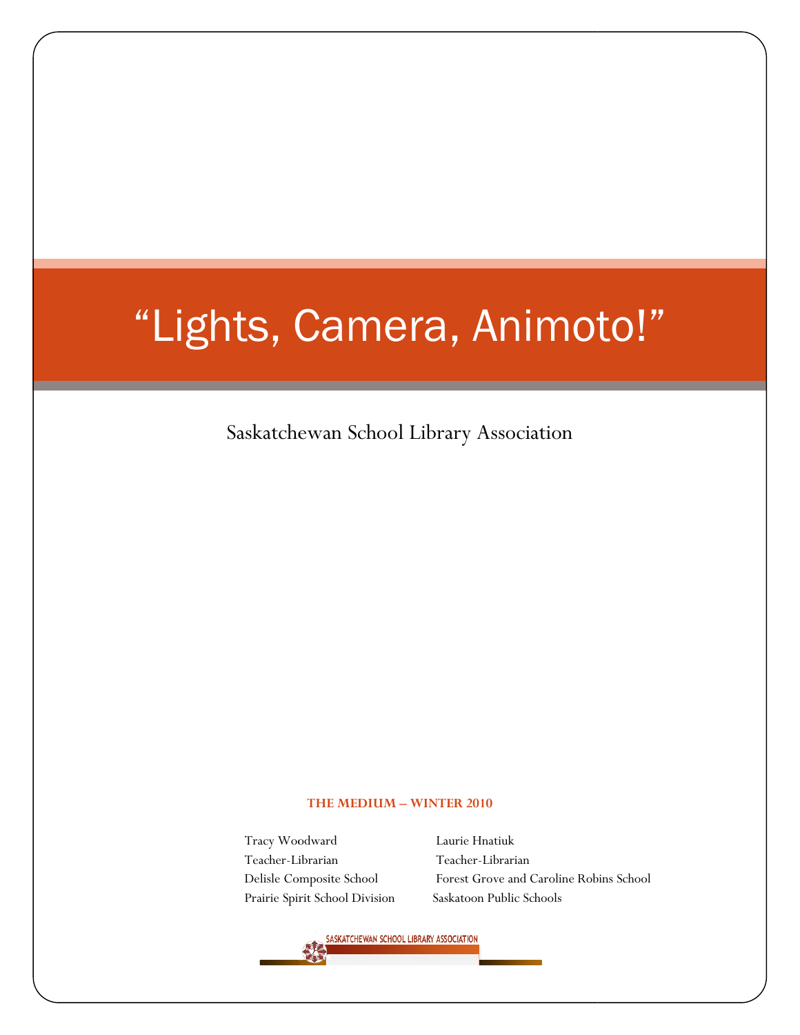# "Lights, Camera, Animoto!" "Lights,

Saskatchewan School Library Association

#### THE MEDIUM – WINTER 2010

Tracy Woodward Teacher-Librarian Delisle Composite School Prairie Spirit School Division Saskatoon Public Schools

Laurie Hnatiuk Librarian Teacher-Librarian School Forest Grove and Caroline Robins School

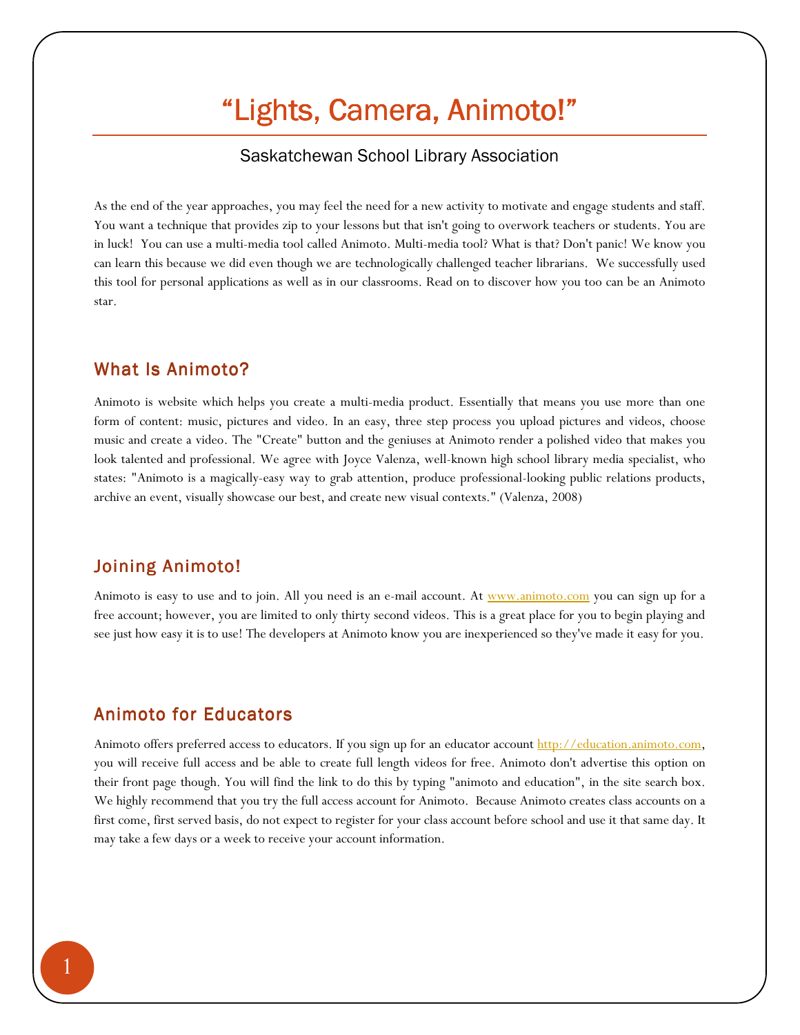# "Lights, Camera, Animoto!"

## Saskatchewan School Library Association

As the end of the year approaches, you may feel the need for a new activity to motivate and engage students and staff. You want a technique that provides zip to your lessons but that isn't going to overwork teachers or students. You are in luck! You can use a multi-media tool called Animoto. Multi-media tool? What is that? Don't panic! We know you can learn this because we did even though we are technologically challenged teacher librarians. We successfully used this tool for personal applications as well as in our classrooms. Read on to discover how you too can be an Animoto star.

# What Is Animoto?

Animoto is website which helps you create a multi-media product. Essentially that means you use more than one form of content: music, pictures and video. In an easy, three step process you upload pictures and videos, choose music and create a video. The "Create" button and the geniuses at Animoto render a polished video that makes you look talented and professional. We agree with Joyce Valenza, well-known high school library media specialist, who states: "Animoto is a magically-easy way to grab attention, produce professional-looking public relations products, archive an event, visually showcase our best, and create new visual contexts." (Valenza, 2008)

# Joining Animoto!

Animoto is easy to use and to join. All you need is an e-mail account. At www.animoto.com you can sign up for a free account; however, you are limited to only thirty second videos. This is a great place for you to begin playing and see just how easy it is to use! The developers at Animoto know you are inexperienced so they've made it easy for you.

# Animoto for Educators

Animoto offers preferred access to educators. If you sign up for an educator account http://education.animoto.com, you will receive full access and be able to create full length videos for free. Animoto don't advertise this option on their front page though. You will find the link to do this by typing "animoto and education", in the site search box. We highly recommend that you try the full access account for Animoto. Because Animoto creates class accounts on a first come, first served basis, do not expect to register for your class account before school and use it that same day. It may take a few days or a week to receive your account information.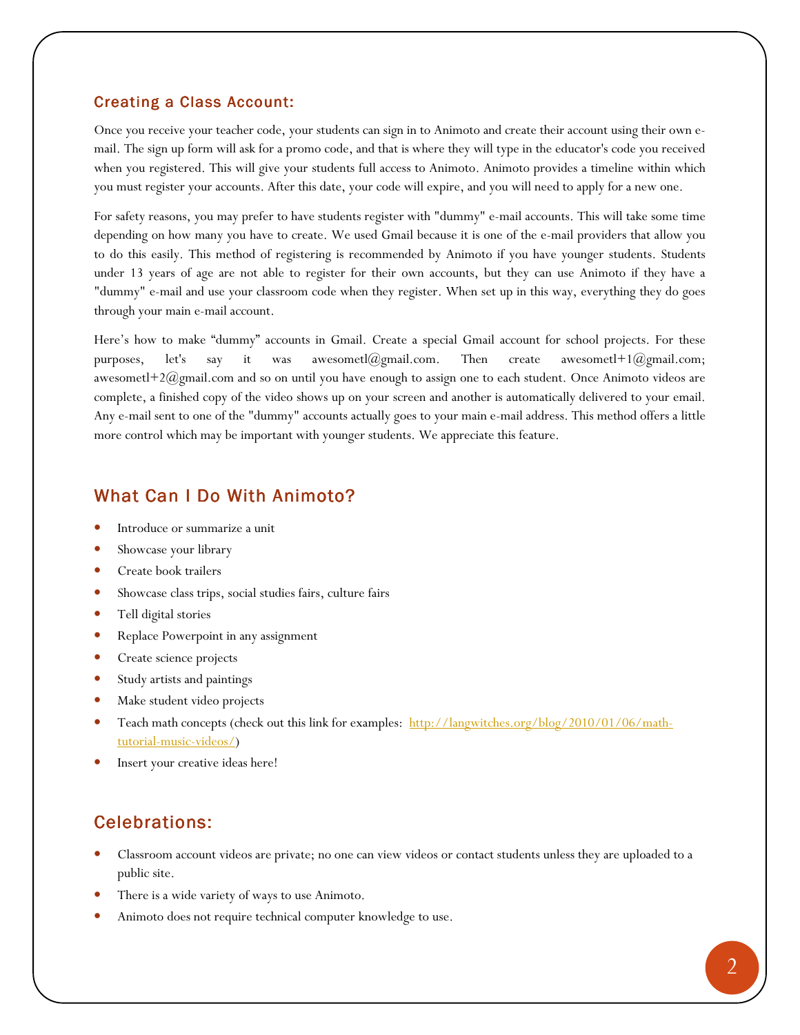#### Creating a Class Account:

Once you receive your teacher code, your students can sign in to Animoto and create their account using their own email. The sign up form will ask for a promo code, and that is where they will type in the educator's code you received when you registered. This will give your students full access to Animoto. Animoto provides a timeline within which you must register your accounts. After this date, your code will expire, and you will need to apply for a new one.

For safety reasons, you may prefer to have students register with "dummy" e-mail accounts. This will take some time depending on how many you have to create. We used Gmail because it is one of the e-mail providers that allow you to do this easily. This method of registering is recommended by Animoto if you have younger students. Students under 13 years of age are not able to register for their own accounts, but they can use Animoto if they have a "dummy" e-mail and use your classroom code when they register. When set up in this way, everything they do goes through your main e-mail account.

Here's how to make "dummy" accounts in Gmail. Create a special Gmail account for school projects. For these purposes, let's say it was awesometl@gmail.com. Then create awesometl+1@gmail.com; awesometl+2@gmail.com and so on until you have enough to assign one to each student. Once Animoto videos are complete, a finished copy of the video shows up on your screen and another is automatically delivered to your email. Any e-mail sent to one of the "dummy" accounts actually goes to your main e-mail address. This method offers a little more control which may be important with younger students. We appreciate this feature.

# What Can I Do With Animoto?

- Introduce or summarize a unit
- Showcase your library
- Create book trailers
- Showcase class trips, social studies fairs, culture fairs
- Tell digital stories
- Replace Powerpoint in any assignment
- Create science projects
- Study artists and paintings
- Make student video projects
- Teach math concepts (check out this link for examples: http://langwitches.org/blog/2010/01/06/mathtutorial-music-videos/)
- Insert your creative ideas here!

# Celebrations:

- Classroom account videos are private; no one can view videos or contact students unless they are uploaded to a public site.
- There is a wide variety of ways to use Animoto.
- Animoto does not require technical computer knowledge to use.